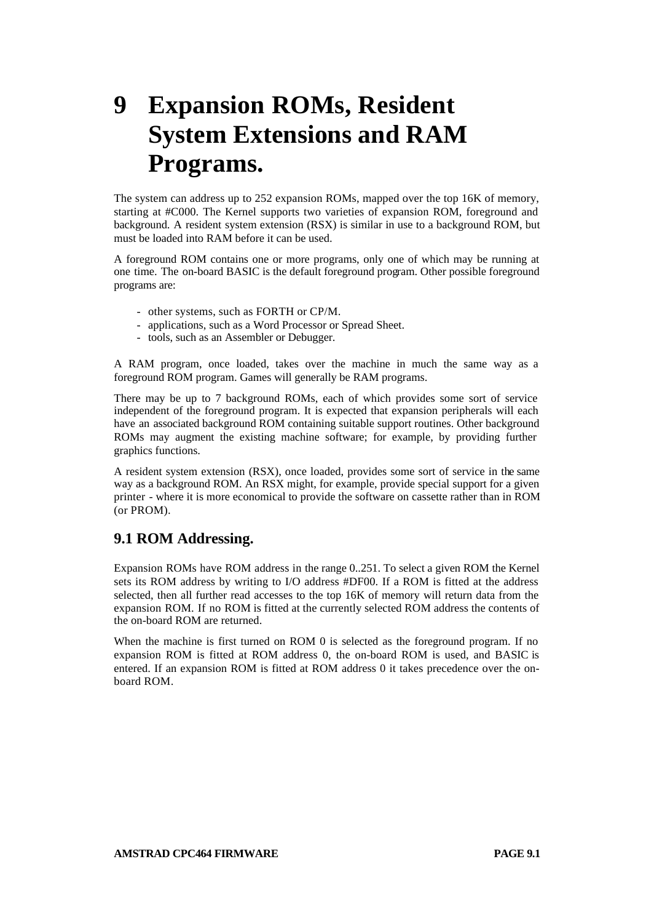# **9 Expansion ROMs, Resident System Extensions and RAM Programs.**

The system can address up to 252 expansion ROMs, mapped over the top 16K of memory, starting at #C000. The Kernel supports two varieties of expansion ROM, foreground and background. A resident system extension (RSX) is similar in use to a background ROM, but must be loaded into RAM before it can be used.

A foreground ROM contains one or more programs, only one of which may be running at one time. The on-board BASIC is the default foreground program. Other possible foreground programs are:

- other systems, such as FORTH or CP/M.
- applications, such as a Word Processor or Spread Sheet.
- tools, such as an Assembler or Debugger.

A RAM program, once loaded, takes over the machine in much the same way as a foreground ROM program. Games will generally be RAM programs.

There may be up to 7 background ROMs, each of which provides some sort of service independent of the foreground program. It is expected that expansion peripherals will each have an associated background ROM containing suitable support routines. Other background ROMs may augment the existing machine software; for example, by providing further graphics functions.

A resident system extension (RSX), once loaded, provides some sort of service in the same way as a background ROM. An RSX might, for example, provide special support for a given printer - where it is more economical to provide the software on cassette rather than in ROM (or PROM).

# **9.1 ROM Addressing.**

Expansion ROMs have ROM address in the range 0..251. To select a given ROM the Kernel sets its ROM address by writing to I/O address #DF00. If a ROM is fitted at the address selected, then all further read accesses to the top 16K of memory will return data from the expansion ROM. If no ROM is fitted at the currently selected ROM address the contents of the on-board ROM are returned.

When the machine is first turned on ROM 0 is selected as the foreground program. If no expansion ROM is fitted at ROM address 0, the on-board ROM is used, and BASIC is entered. If an expansion ROM is fitted at ROM address 0 it takes precedence over the onboard ROM.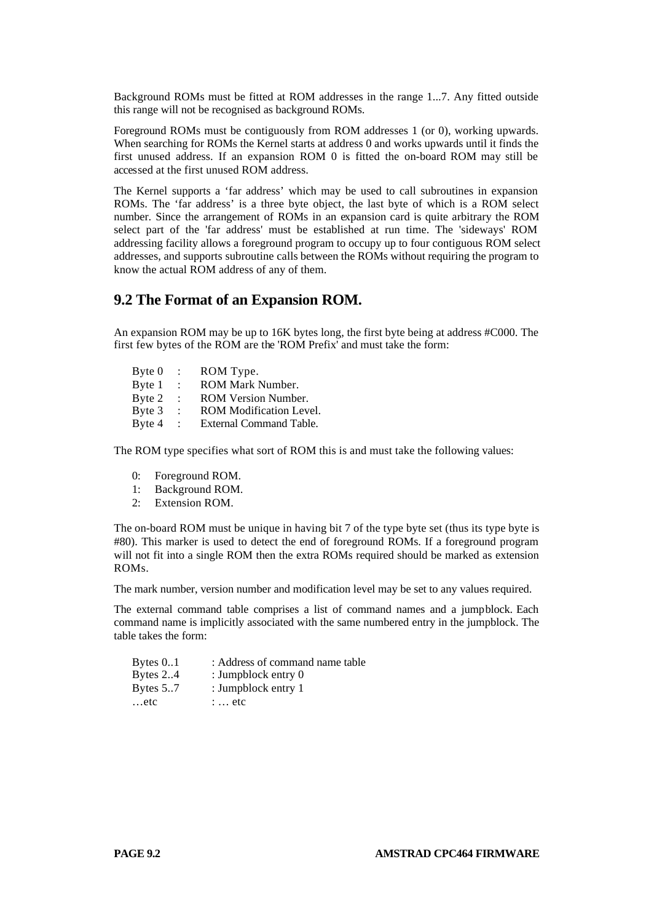Background ROMs must be fitted at ROM addresses in the range 1...7. Any fitted outside this range will not be recognised as background ROMs.

Foreground ROMs must be contiguously from ROM addresses 1 (or 0), working upwards. When searching for ROMs the Kernel starts at address 0 and works upwards until it finds the first unused address. If an expansion ROM 0 is fitted the on-board ROM may still be accessed at the first unused ROM address.

The Kernel supports a 'far address' which may be used to call subroutines in expansion ROMs. The 'far address' is a three byte object, the last byte of which is a ROM select number. Since the arrangement of ROMs in an expansion card is quite arbitrary the ROM select part of the 'far address' must be established at run time. The 'sideways' ROM addressing facility allows a foreground program to occupy up to four contiguous ROM select addresses, and supports subroutine calls between the ROMs without requiring the program to know the actual ROM address of any of them.

# **9.2 The Format of an Expansion ROM.**

An expansion ROM may be up to 16K bytes long, the first byte being at address #C000. The first few bytes of the ROM are the 'ROM Prefix' and must take the form:

| $B$ yte $0$ | $\ddot{\phantom{a}}$ | ROM Type.                      |
|-------------|----------------------|--------------------------------|
| Byte 1      | $\ddot{\phantom{1}}$ | ROM Mark Number.               |
| Byte 2      | $\ddot{\phantom{a}}$ | ROM Version Number.            |
| Byte 3      | $\ddot{\phantom{a}}$ | <b>ROM Modification Level.</b> |
| Byte 4      | $\mathbb{Z}$         | External Command Table.        |

The ROM type specifies what sort of ROM this is and must take the following values:

- 0: Foreground ROM.
- 1: Background ROM.
- 2: Extension ROM.

The on-board ROM must be unique in having bit 7 of the type byte set (thus its type byte is #80). This marker is used to detect the end of foreground ROMs. If a foreground program will not fit into a single ROM then the extra ROMs required should be marked as extension ROMs.

The mark number, version number and modification level may be set to any values required.

The external command table comprises a list of command names and a jumpblock. Each command name is implicitly associated with the same numbered entry in the jumpblock. The table takes the form:

| Bytes $0.1$ | : Address of command name table |
|-------------|---------------------------------|
| Bytes $2.4$ | : Jumpblock entry $0$           |
| Bytes $5.7$ | : Jumpblock entry 1             |
| etc         | $\therefore$ etc.               |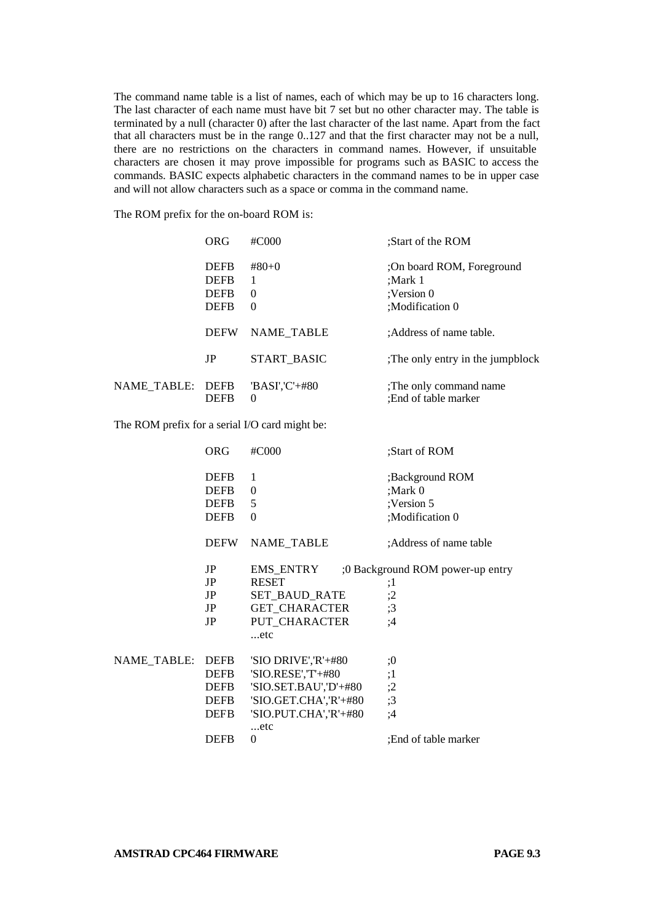The command name table is a list of names, each of which may be up to 16 characters long. The last character of each name must have bit 7 set but no other character may. The table is terminated by a null (character 0) after the last character of the last name. Apart from the fact that all characters must be in the range 0..127 and that the first character may not be a null, there are no restrictions on the characters in command names. However, if unsuitable characters are chosen it may prove impossible for programs such as BASIC to access the commands. BASIC expects alphabetic characters in the command names to be in upper case and will not allow characters such as a space or comma in the command name.

The ROM prefix for the on-board ROM is:

|             | ORG                                                      | $\#C000$                             | :Start of the ROM                                                       |
|-------------|----------------------------------------------------------|--------------------------------------|-------------------------------------------------------------------------|
|             | <b>DEFB</b><br><b>DEFR</b><br><b>DEFR</b><br><b>DEFB</b> | $#80+0$<br>1<br>$\Omega$<br>$\Omega$ | :On board ROM, Foreground<br>:Mark 1<br>:Version $0$<br>:Modification 0 |
|             | <b>DEFW</b>                                              | <b>NAME TABLE</b>                    | :Address of name table.                                                 |
|             | JP                                                       | START BASIC                          | The only entry in the jumpblock                                         |
| NAME TABLE: | <b>DEFB</b><br><b>DEFB</b>                               | 'BASI','C'+#80<br>$\Omega$           | ;The only command name<br>:End of table marker                          |

The ROM prefix for a serial I/O card might be:

|             | ORG                                                      | #C000                                                                                                                       | :Start of ROM                                               |
|-------------|----------------------------------------------------------|-----------------------------------------------------------------------------------------------------------------------------|-------------------------------------------------------------|
|             | <b>DEFB</b><br><b>DEFB</b><br><b>DEFB</b><br><b>DEFB</b> | 1<br>$\Omega$<br>5<br>$\Omega$                                                                                              | ;Background ROM<br>:Mark 0<br>:Version 5<br>;Modification 0 |
|             | <b>DEFW</b>                                              | NAME_TABLE                                                                                                                  | :Address of name table                                      |
|             | JP<br>JP<br>JP<br>JP<br>JP                               | EMS ENTRY<br><b>RESET</b><br>SET BAUD RATE<br><b>GET CHARACTER</b><br>PUT_CHARACTER<br>etc                                  | :0 Background ROM power-up entry<br>:1<br>;2<br>;3<br>;4    |
| NAME TABLE: | DEFB<br>DEFB<br>DEFB<br>DEFB<br>DEFB                     | 'SIO DRIVE','R'+#80<br>'SIO.RESE','T'+#80<br>'SIO.SET.BAU','D'+#80<br>'SIO.GET.CHA','R'+#80<br>'SIO.PUT.CHA','R'+#80<br>etc | :0<br>;1<br>;2<br>;3<br>:4                                  |
|             | <b>DEFB</b>                                              | $\Omega$                                                                                                                    | :End of table marker                                        |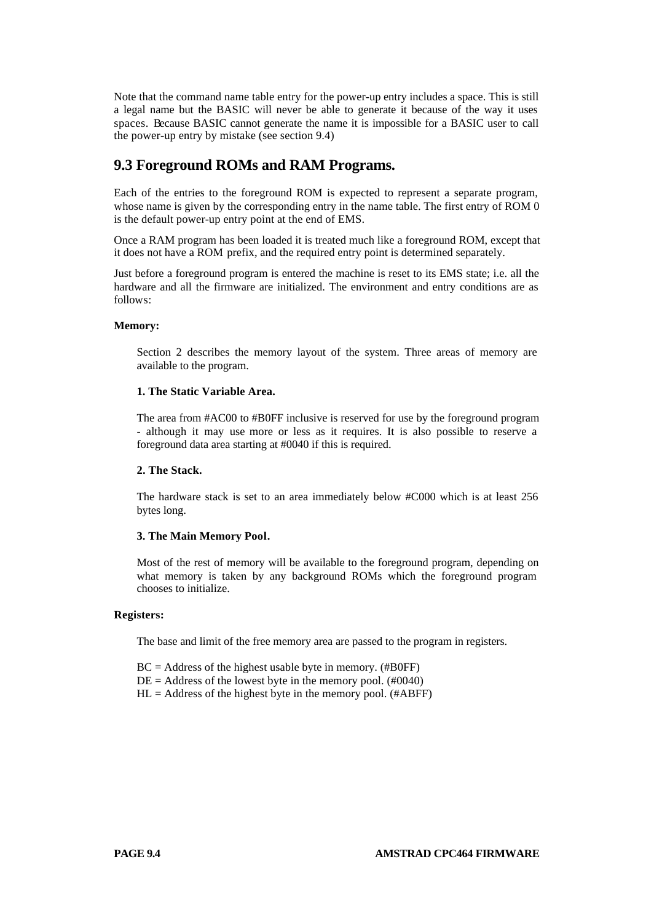Note that the command name table entry for the power-up entry includes a space. This is still a legal name but the BASIC will never be able to generate it because of the way it uses spaces. Because BASIC cannot generate the name it is impossible for a BASIC user to call the power-up entry by mistake (see section 9.4)

# **9.3 Foreground ROMs and RAM Programs.**

Each of the entries to the foreground ROM is expected to represent a separate program, whose name is given by the corresponding entry in the name table. The first entry of ROM 0 is the default power-up entry point at the end of EMS.

Once a RAM program has been loaded it is treated much like a foreground ROM, except that it does not have a ROM prefix, and the required entry point is determined separately.

Just before a foreground program is entered the machine is reset to its EMS state; i.e. all the hardware and all the firmware are initialized. The environment and entry conditions are as follows:

### **Memory:**

Section 2 describes the memory layout of the system. Three areas of memory are available to the program.

## **1. The Static Variable Area.**

The area from #AC00 to #B0FF inclusive is reserved for use by the foreground program - although it may use more or less as it requires. It is also possible to reserve a foreground data area starting at #0040 if this is required.

### **2. The Stack.**

The hardware stack is set to an area immediately below #C000 which is at least 256 bytes long.

#### **3. The Main Memory Pool.**

Most of the rest of memory will be available to the foreground program, depending on what memory is taken by any background ROMs which the foreground program chooses to initialize.

#### **Registers:**

The base and limit of the free memory area are passed to the program in registers.

 $BC = Address$  of the highest usable byte in memory. (#B0FF)

- $DE = Address$  of the lowest byte in the memory pool. (#0040)
- $HL = Address$  of the highest byte in the memory pool. (#ABFF)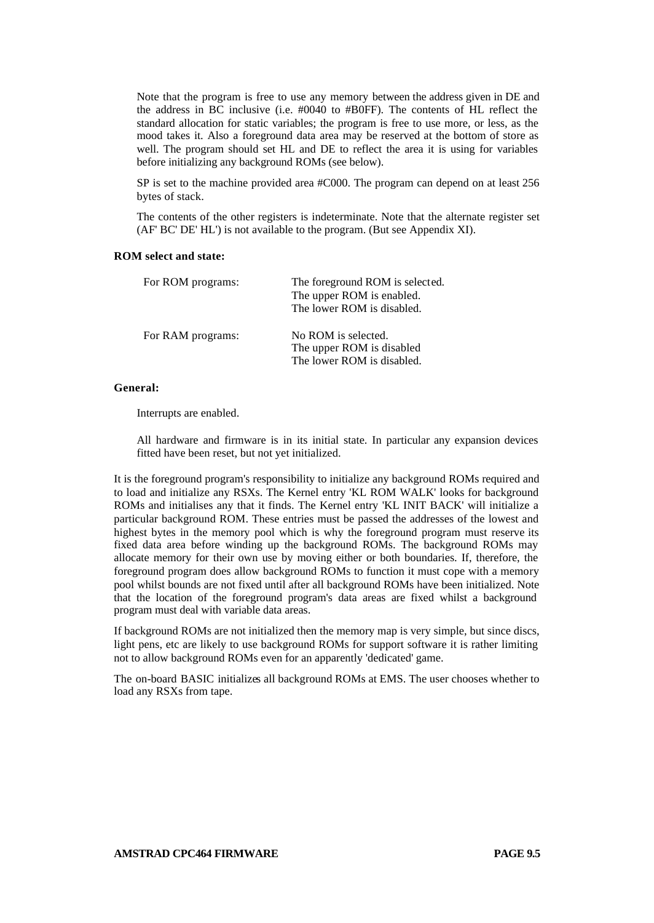Note that the program is free to use any memory between the address given in DE and the address in BC inclusive (i.e. #0040 to #B0FF). The contents of HL reflect the standard allocation for static variables; the program is free to use more, or less, as the mood takes it. Also a foreground data area may be reserved at the bottom of store as well. The program should set HL and DE to reflect the area it is using for variables before initializing any background ROMs (see below).

SP is set to the machine provided area #C000. The program can depend on at least 256 bytes of stack.

The contents of the other registers is indeterminate. Note that the alternate register set (AF' BC' DE' HL') is not available to the program. (But see Appendix XI).

## **ROM select and state:**

| For ROM programs: | The foreground ROM is selected. |  |
|-------------------|---------------------------------|--|
|                   | The upper ROM is enabled.       |  |
|                   | The lower ROM is disabled.      |  |
| For RAM programs: | No ROM is selected.             |  |
|                   | The upper ROM is disabled       |  |
|                   | The lower ROM is disabled.      |  |

## **General:**

Interrupts are enabled.

All hardware and firmware is in its initial state. In particular any expansion devices fitted have been reset, but not yet initialized.

It is the foreground program's responsibility to initialize any background ROMs required and to load and initialize any RSXs. The Kernel entry 'KL ROM WALK' looks for background ROMs and initialises any that it finds. The Kernel entry 'KL INIT BACK' will initialize a particular background ROM. These entries must be passed the addresses of the lowest and highest bytes in the memory pool which is why the foreground program must reserve its fixed data area before winding up the background ROMs. The background ROMs may allocate memory for their own use by moving either or both boundaries. If, therefore, the foreground program does allow background ROMs to function it must cope with a memory pool whilst bounds are not fixed until after all background ROMs have been initialized. Note that the location of the foreground program's data areas are fixed whilst a background program must deal with variable data areas.

If background ROMs are not initialized then the memory map is very simple, but since discs, light pens, etc are likely to use background ROMs for support software it is rather limiting not to allow background ROMs even for an apparently 'dedicated' game.

The on-board BASIC initializes all background ROMs at EMS. The user chooses whether to load any RSXs from tape.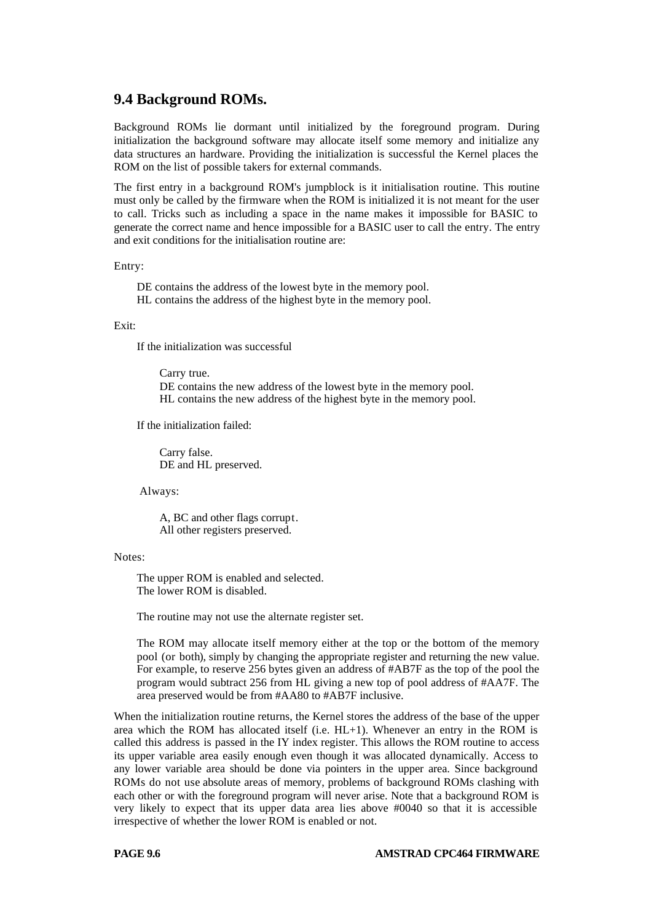## **9.4 Background ROMs.**

Background ROMs lie dormant until initialized by the foreground program. During initialization the background software may allocate itself some memory and initialize any data structures an hardware. Providing the initialization is successful the Kernel places the ROM on the list of possible takers for external commands.

The first entry in a background ROM's jumpblock is it initialisation routine. This routine must only be called by the firmware when the ROM is initialized it is not meant for the user to call. Tricks such as including a space in the name makes it impossible for BASIC to generate the correct name and hence impossible for a BASIC user to call the entry. The entry and exit conditions for the initialisation routine are:

Entry:

DE contains the address of the lowest byte in the memory pool. HL contains the address of the highest byte in the memory pool.

#### Exit:

If the initialization was successful

Carry true. DE contains the new address of the lowest byte in the memory pool. HL contains the new address of the highest byte in the memory pool.

If the initialization failed:

Carry false. DE and HL preserved.

Always:

A, BC and other flags corrupt. All other registers preserved.

Notes:

The upper ROM is enabled and selected. The lower ROM is disabled.

The routine may not use the alternate register set.

The ROM may allocate itself memory either at the top or the bottom of the memory pool (or both), simply by changing the appropriate register and returning the new value. For example, to reserve 256 bytes given an address of #AB7F as the top of the pool the program would subtract 256 from HL giving a new top of pool address of #AA7F. The area preserved would be from #AA80 to #AB7F inclusive.

When the initialization routine returns, the Kernel stores the address of the base of the upper area which the ROM has allocated itself (i.e. HL+1). Whenever an entry in the ROM is called this address is passed in the IY index register. This allows the ROM routine to access its upper variable area easily enough even though it was allocated dynamically. Access to any lower variable area should be done via pointers in the upper area. Since background ROMs do not use absolute areas of memory, problems of background ROMs clashing with each other or with the foreground program will never arise. Note that a background ROM is very likely to expect that its upper data area lies above #0040 so that it is accessible irrespective of whether the lower ROM is enabled or not.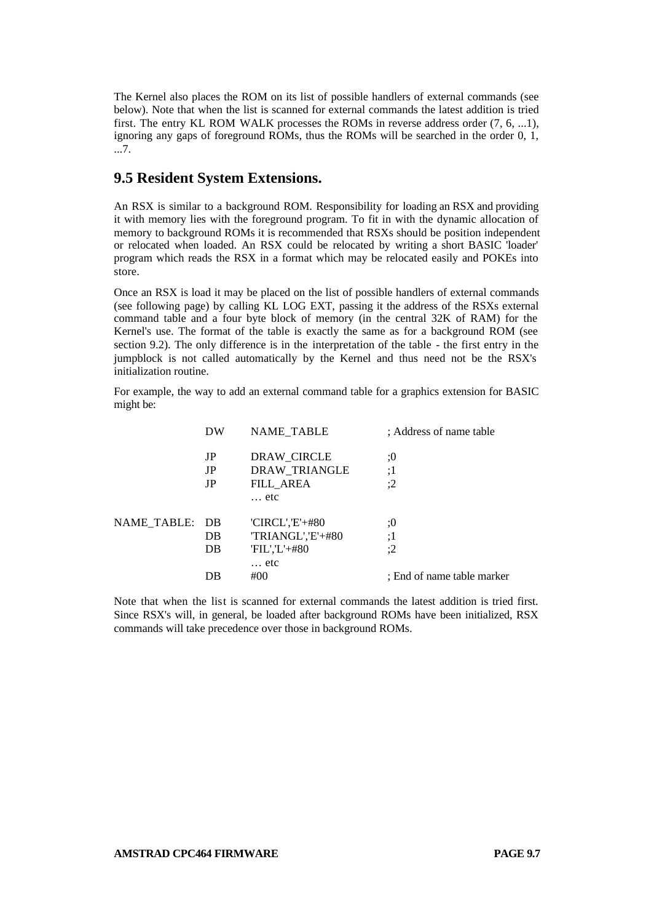The Kernel also places the ROM on its list of possible handlers of external commands (see below). Note that when the list is scanned for external commands the latest addition is tried first. The entry KL ROM WALK processes the ROMs in reverse address order (7, 6, ...1), ignoring any gaps of foreground ROMs, thus the ROMs will be searched in the order 0, 1, ...7.

# **9.5 Resident System Extensions.**

An RSX is similar to a background ROM. Responsibility for loading an RSX and providing it with memory lies with the foreground program. To fit in with the dynamic allocation of memory to background ROMs it is recommended that RSXs should be position independent or relocated when loaded. An RSX could be relocated by writing a short BASIC 'loader' program which reads the RSX in a format which may be relocated easily and POKEs into store.

Once an RSX is load it may be placed on the list of possible handlers of external commands (see following page) by calling KL LOG EXT, passing it the address of the RSXs external command table and a four byte block of memory (in the central 32K of RAM) for the Kernel's use. The format of the table is exactly the same as for a background ROM (see section 9.2). The only difference is in the interpretation of the table - the first entry in the jumpblock is not called automatically by the Kernel and thus need not be the RSX's initialization routine.

For example, the way to add an external command table for a graphics extension for BASIC might be:

|                | DW | <b>NAME TABLE</b> | : Address of name table    |
|----------------|----|-------------------|----------------------------|
|                | JP | DRAW_CIRCLE       | :0                         |
|                | JP | DRAW_TRIANGLE     | :1                         |
|                | JP | FILL AREA         | :2                         |
|                |    | $\ldots$ etc      |                            |
| NAME TABLE: DB |    | $'CIRCL', E'+#80$ | :0                         |
|                | DB | TRIANGL','E'+#80  | :1                         |
|                | DB | $FIL'.L'+#80$     | :2                         |
|                |    | etc               |                            |
|                | DB | #00               | : End of name table marker |
|                |    |                   |                            |

Note that when the list is scanned for external commands the latest addition is tried first. Since RSX's will, in general, be loaded after background ROMs have been initialized, RSX commands will take precedence over those in background ROMs.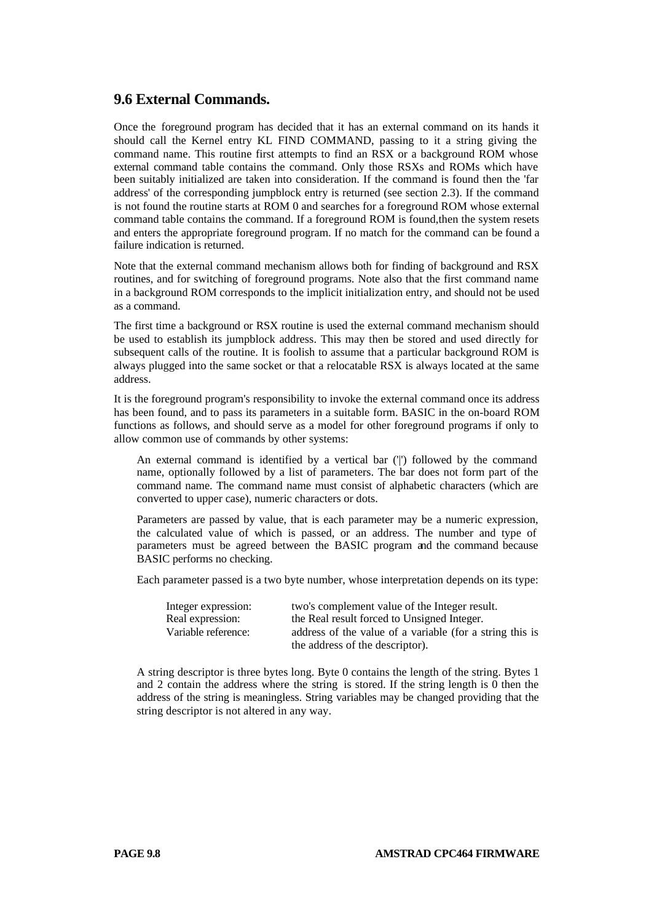## **9.6 External Commands.**

Once the foreground program has decided that it has an external command on its hands it should call the Kernel entry KL FIND COMMAND, passing to it a string giving the command name. This routine first attempts to find an RSX or a background ROM whose external command table contains the command. Only those RSXs and ROMs which have been suitably initialized are taken into consideration. If the command is found then the 'far address' of the corresponding jumpblock entry is returned (see section 2.3). If the command is not found the routine starts at ROM 0 and searches for a foreground ROM whose external command table contains the command. If a foreground ROM is found,then the system resets and enters the appropriate foreground program. If no match for the command can be found a failure indication is returned.

Note that the external command mechanism allows both for finding of background and RSX routines, and for switching of foreground programs. Note also that the first command name in a background ROM corresponds to the implicit initialization entry, and should not be used as a command.

The first time a background or RSX routine is used the external command mechanism should be used to establish its jumpblock address. This may then be stored and used directly for subsequent calls of the routine. It is foolish to assume that a particular background ROM is always plugged into the same socket or that a relocatable RSX is always located at the same address.

It is the foreground program's responsibility to invoke the external command once its address has been found, and to pass its parameters in a suitable form. BASIC in the on-board ROM functions as follows, and should serve as a model for other foreground programs if only to allow common use of commands by other systems:

An external command is identified by a vertical bar ('|') followed by the command name, optionally followed by a list of parameters. The bar does not form part of the command name. The command name must consist of alphabetic characters (which are converted to upper case), numeric characters or dots.

Parameters are passed by value, that is each parameter may be a numeric expression, the calculated value of which is passed, or an address. The number and type of parameters must be agreed between the BASIC program and the command because BASIC performs no checking.

Each parameter passed is a two byte number, whose interpretation depends on its type:

| Integer expression: | two's complement value of the Integer result.            |
|---------------------|----------------------------------------------------------|
| Real expression:    | the Real result forced to Unsigned Integer.              |
| Variable reference: | address of the value of a variable (for a string this is |
|                     | the address of the descriptor).                          |

A string descriptor is three bytes long. Byte 0 contains the length of the string. Bytes 1 and 2 contain the address where the string is stored. If the string length is 0 then the address of the string is meaningless. String variables may be changed providing that the string descriptor is not altered in any way.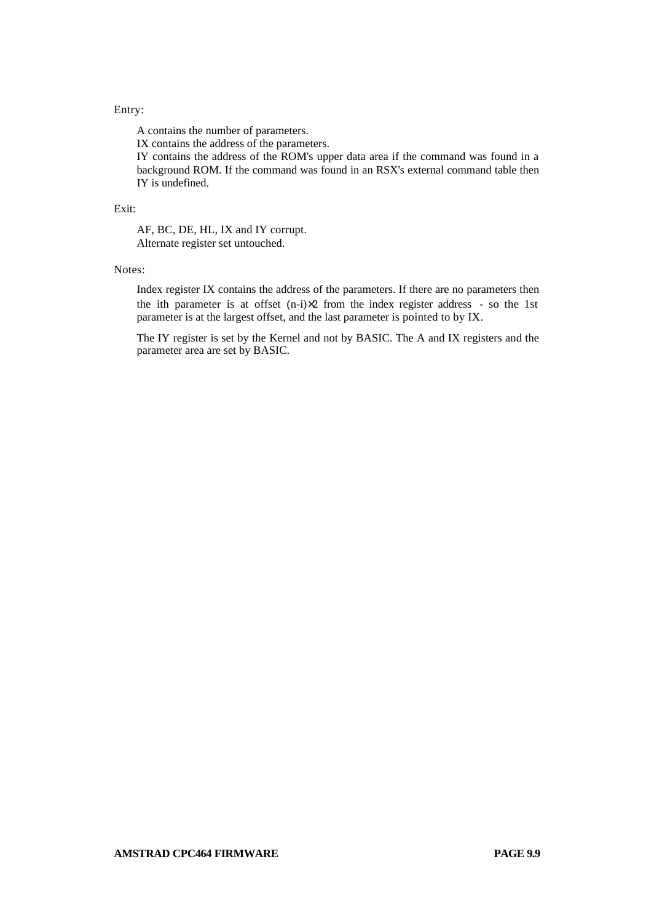## Entry:

A contains the number of parameters. IX contains the address of the parameters. IY contains the address of the ROM's upper data area if the command was found in a background ROM. If the command was found in an RSX's external command table then IY is undefined.

#### Exit:

AF, BC, DE, HL, IX and IY corrupt. Alternate register set untouched.

#### Notes:

Index register IX contains the address of the parameters. If there are no parameters then the ith parameter is at offset  $(n-i)\times 2$  from the index register address - so the 1st parameter is at the largest offset, and the last parameter is pointed to by IX.

The IY register is set by the Kernel and not by BASIC. The A and IX registers and the parameter area are set by BASIC.